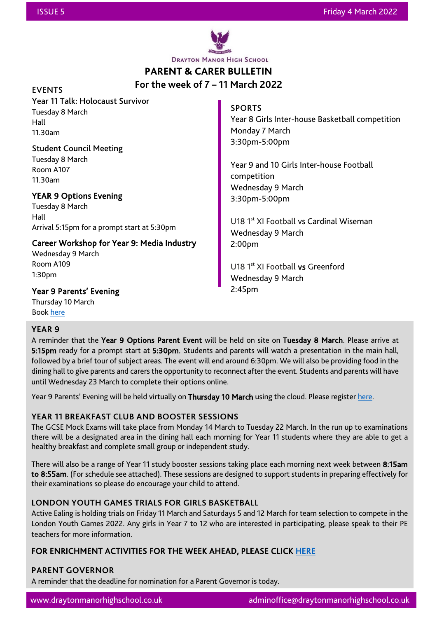

**DRAYTON MANOR HIGH SCHOOL** 

**PARENT & CARER BULLETIN**

**For the week of 7 – 11 March 2022**

#### EVENTS

Year 11 Talk: Holocaust Survivor Tuesday 8 March Hall 11.30am

Student Council Meeting Tuesday 8 March Room A107 11.30am

#### YEAR 9 Options Evening

Tuesday 8 March Hall Arrival 5:15pm for a prompt start at 5:30pm

Career Workshop for Year 9: Media Industry Wednesday 9 March

Room A109 1:30pm

## Year 9 Parents' Evening

Thursday 10 March Boo[k here](https://draytonmanor.schoolcloud.co.uk/)

## SPORTS

Year 8 Girls Inter-house Basketball competition Monday 7 March 3:30pm-5:00pm

Year 9 and 10 Girls Inter-house Football competition Wednesday 9 March 3:30pm-5:00pm

U18 1<sup>st</sup> XI Football vs Cardinal Wiseman Wednesday 9 March 2:00pm

U18 1<sup>st</sup> XI Football vs Greenford Wednesday 9 March 2:45pm

#### **YEAR 9**

A reminder that the Year 9 Options Parent Event will be held on site on Tuesday 8 March. Please arrive at 5:15pm ready for a prompt start at 5:30pm. Students and parents will watch a presentation in the main hall, followed by a brief tour of subject areas. The event will end around 6:30pm. We will also be providing food in the dining hall to give parents and carers the opportunity to reconnect after the event. Students and parents will have until Wednesday 23 March to complete their options online.

Year 9 Parents' Evening will be held virtually on Thursday 10 March using the cloud. Please register here.

#### **YEAR 11 BREAKFAST CLUB AND BOOSTER SESSIONS**

The GCSE Mock Exams will take place from Monday 14 March to Tuesday 22 March. In the run up to examinations there will be a designated area in the dining hall each morning for Year 11 students where they are able to get a healthy breakfast and complete small group or independent study.

There will also be a range of Year 11 study booster sessions taking place each morning next week between 8:15am to 8:55am. (For schedule see attached). These sessions are designed to support students in preparing effectively for their examinations so please do encourage your child to attend.

#### **LONDON YOUTH GAMES TRIALS FOR GIRLS BASKETBALL**

Active Ealing is holding trials on Friday 11 March and Saturdays 5 and 12 March for team selection to compete in the London Youth Games 2022. Any girls in Year 7 to 12 who are interested in participating, please speak to their PE teachers for more information.

# FOR ENRICHMENT ACTIVITIES FOR THE WEEK AHEAD, PLEASE CLICK [HERE](https://www.draytonmanorhighschool.co.uk/download/enrichment-acitivites-7-11-march-.pdf)

#### **PARENT GOVERNOR**

A reminder that the deadline for nomination for a Parent Governor is today.